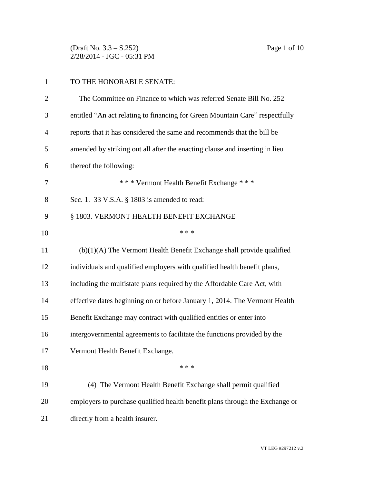(Draft No. 3.3 – S.252) Page 1 of 10 2/28/2014 - JGC - 05:31 PM

## TO THE HONORABLE SENATE:

| $\overline{2}$ | The Committee on Finance to which was referred Senate Bill No. 252           |
|----------------|------------------------------------------------------------------------------|
| 3              | entitled "An act relating to financing for Green Mountain Care" respectfully |
| $\overline{4}$ | reports that it has considered the same and recommends that the bill be      |
| 5              | amended by striking out all after the enacting clause and inserting in lieu  |
| 6              | thereof the following:                                                       |
| 7              | *** Vermont Health Benefit Exchange ***                                      |
| 8              | Sec. 1. 33 V.S.A. § 1803 is amended to read:                                 |
| 9              | § 1803. VERMONT HEALTH BENEFIT EXCHANGE                                      |
| 10             | * * *                                                                        |
| 11             | $(b)(1)(A)$ The Vermont Health Benefit Exchange shall provide qualified      |
| 12             | individuals and qualified employers with qualified health benefit plans,     |
| 13             | including the multistate plans required by the Affordable Care Act, with     |
| 14             | effective dates beginning on or before January 1, 2014. The Vermont Health   |
| 15             | Benefit Exchange may contract with qualified entities or enter into          |
| 16             | intergovernmental agreements to facilitate the functions provided by the     |
| 17             | Vermont Health Benefit Exchange.                                             |
| 18             | * * *                                                                        |
| 19             | (4) The Vermont Health Benefit Exchange shall permit qualified               |
| 20             | employers to purchase qualified health benefit plans through the Exchange or |
| 21             | directly from a health insurer.                                              |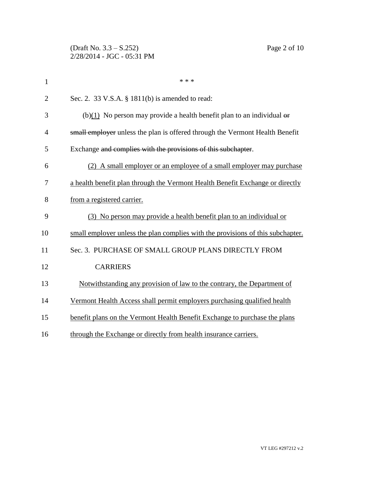(Draft No. 3.3 – S.252) Page 2 of 10 2/28/2014 - JGC - 05:31 PM

| $\mathbf{1}$   | * * *                                                                           |
|----------------|---------------------------------------------------------------------------------|
| $\overline{2}$ | Sec. 2. 33 V.S.A. § 1811(b) is amended to read:                                 |
| 3              | (b)(1) No person may provide a health benefit plan to an individual $\theta$    |
| 4              | small employer unless the plan is offered through the Vermont Health Benefit    |
| 5              | Exchange and complies with the provisions of this subchapter.                   |
| 6              | (2) A small employer or an employee of a small employer may purchase            |
| 7              | a health benefit plan through the Vermont Health Benefit Exchange or directly   |
| 8              | from a registered carrier.                                                      |
| 9              | (3) No person may provide a health benefit plan to an individual or             |
| 10             | small employer unless the plan complies with the provisions of this subchapter. |
| 11             | Sec. 3. PURCHASE OF SMALL GROUP PLANS DIRECTLY FROM                             |
| 12             | <b>CARRIERS</b>                                                                 |
| 13             | Notwithstanding any provision of law to the contrary, the Department of         |
| 14             | Vermont Health Access shall permit employers purchasing qualified health        |
| 15             | benefit plans on the Vermont Health Benefit Exchange to purchase the plans      |
| 16             | through the Exchange or directly from health insurance carriers.                |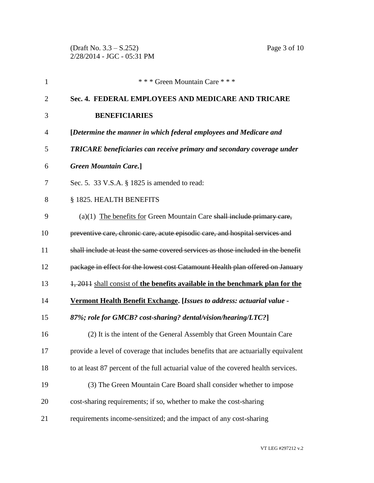(Draft No. 3.3 – S.252) Page 3 of 10 2/28/2014 - JGC - 05:31 PM

| 1              | *** Green Mountain Care ***                                                        |
|----------------|------------------------------------------------------------------------------------|
| $\overline{2}$ | Sec. 4. FEDERAL EMPLOYEES AND MEDICARE AND TRICARE                                 |
| 3              | <b>BENEFICIARIES</b>                                                               |
| 4              | [Determine the manner in which federal employees and Medicare and                  |
| 5              | TRICARE beneficiaries can receive primary and secondary coverage under             |
| 6              | <b>Green Mountain Care.</b> ]                                                      |
| 7              | Sec. 5. 33 V.S.A. § 1825 is amended to read:                                       |
| 8              | § 1825. HEALTH BENEFITS                                                            |
| 9              | $(a)(1)$ The benefits for Green Mountain Care shall include primary care,          |
| 10             | preventive care, chronic care, acute episodic care, and hospital services and      |
| 11             | shall include at least the same covered services as those included in the benefit  |
| 12             | package in effect for the lowest cost Catamount Health plan offered on January     |
| 13             | 1, 2011 shall consist of the benefits available in the benchmark plan for the      |
| 14             | <b>Vermont Health Benefit Exchange.</b> [Issues to address: actuarial value -      |
| 15             | 87%; role for GMCB? cost-sharing? dental/vision/hearing/LTC?]                      |
| 16             | (2) It is the intent of the General Assembly that Green Mountain Care              |
| 17             | provide a level of coverage that includes benefits that are actuarially equivalent |
| 18             | to at least 87 percent of the full actuarial value of the covered health services. |
| 19             | (3) The Green Mountain Care Board shall consider whether to impose                 |
| 20             | cost-sharing requirements; if so, whether to make the cost-sharing                 |
| 21             | requirements income-sensitized; and the impact of any cost-sharing                 |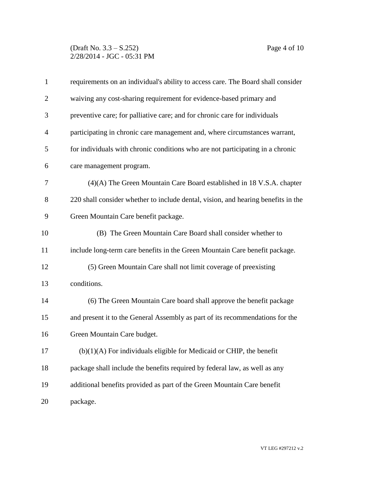## (Draft No. 3.3 – S.252) Page 4 of 10 2/28/2014 - JGC - 05:31 PM

| $\mathbf{1}$   | requirements on an individual's ability to access care. The Board shall consider  |
|----------------|-----------------------------------------------------------------------------------|
| $\overline{2}$ | waiving any cost-sharing requirement for evidence-based primary and               |
| 3              | preventive care; for palliative care; and for chronic care for individuals        |
| $\overline{4}$ | participating in chronic care management and, where circumstances warrant,        |
| 5              | for individuals with chronic conditions who are not participating in a chronic    |
| 6              | care management program.                                                          |
| 7              | $(4)(A)$ The Green Mountain Care Board established in 18 V.S.A. chapter           |
| 8              | 220 shall consider whether to include dental, vision, and hearing benefits in the |
| 9              | Green Mountain Care benefit package.                                              |
| 10             | (B) The Green Mountain Care Board shall consider whether to                       |
| 11             | include long-term care benefits in the Green Mountain Care benefit package.       |
| 12             | (5) Green Mountain Care shall not limit coverage of preexisting                   |
| 13             | conditions.                                                                       |
| 14             | (6) The Green Mountain Care board shall approve the benefit package               |
| 15             | and present it to the General Assembly as part of its recommendations for the     |
| 16             | Green Mountain Care budget.                                                       |
| 17             | $(b)(1)(A)$ For individuals eligible for Medicaid or CHIP, the benefit            |
| 18             | package shall include the benefits required by federal law, as well as any        |
| 19             | additional benefits provided as part of the Green Mountain Care benefit           |
| 20             | package.                                                                          |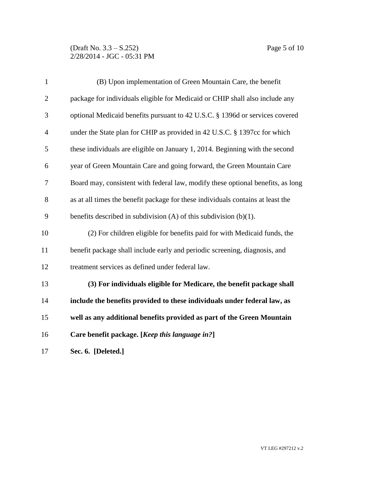## (Draft No. 3.3 – S.252) Page 5 of 10 2/28/2014 - JGC - 05:31 PM

| $\mathbf{1}$   | (B) Upon implementation of Green Mountain Care, the benefit                     |
|----------------|---------------------------------------------------------------------------------|
| $\overline{2}$ | package for individuals eligible for Medicaid or CHIP shall also include any    |
| 3              | optional Medicaid benefits pursuant to 42 U.S.C. § 1396d or services covered    |
| $\overline{4}$ | under the State plan for CHIP as provided in 42 U.S.C. § 1397cc for which       |
| 5              | these individuals are eligible on January 1, 2014. Beginning with the second    |
| 6              | year of Green Mountain Care and going forward, the Green Mountain Care          |
| 7              | Board may, consistent with federal law, modify these optional benefits, as long |
| 8              | as at all times the benefit package for these individuals contains at least the |
| 9              | benefits described in subdivision $(A)$ of this subdivision $(b)(1)$ .          |
| 10             | (2) For children eligible for benefits paid for with Medicaid funds, the        |
| 11             | benefit package shall include early and periodic screening, diagnosis, and      |
| 12             | treatment services as defined under federal law.                                |
| 13             | (3) For individuals eligible for Medicare, the benefit package shall            |
| 14             | include the benefits provided to these individuals under federal law, as        |
| 15             | well as any additional benefits provided as part of the Green Mountain          |
| 16             | Care benefit package. [Keep this language in?]                                  |
| 17             | Sec. 6. [Deleted.]                                                              |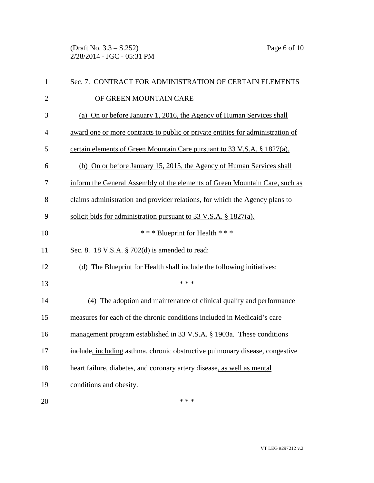(Draft No. 3.3 – S.252) Page 6 of 10 2/28/2014 - JGC - 05:31 PM

| $\mathbf{1}$   | Sec. 7. CONTRACT FOR ADMINISTRATION OF CERTAIN ELEMENTS                         |
|----------------|---------------------------------------------------------------------------------|
| $\overline{2}$ | OF GREEN MOUNTAIN CARE                                                          |
| 3              | (a) On or before January 1, 2016, the Agency of Human Services shall            |
| 4              | award one or more contracts to public or private entities for administration of |
| 5              | certain elements of Green Mountain Care pursuant to 33 V.S.A. § 1827(a).        |
| 6              | (b) On or before January 15, 2015, the Agency of Human Services shall           |
| 7              | inform the General Assembly of the elements of Green Mountain Care, such as     |
| 8              | claims administration and provider relations, for which the Agency plans to     |
| 9              | solicit bids for administration pursuant to 33 V.S.A. $\S$ 1827(a).             |
| 10             | *** Blueprint for Health ***                                                    |
| 11             | Sec. 8. 18 V.S.A. § 702(d) is amended to read:                                  |
| 12             | (d) The Blueprint for Health shall include the following initiatives:           |
| 13             | * * *                                                                           |
| 14             | (4) The adoption and maintenance of clinical quality and performance            |
| 15             | measures for each of the chronic conditions included in Medicaid's care         |
| 16             | management program established in 33 V.S.A. § 1903a. These conditions           |
| 17             | include, including asthma, chronic obstructive pulmonary disease, congestive    |
| 18             | heart failure, diabetes, and coronary artery disease, as well as mental         |
| 19             | conditions and obesity.                                                         |
| 20             | * * *                                                                           |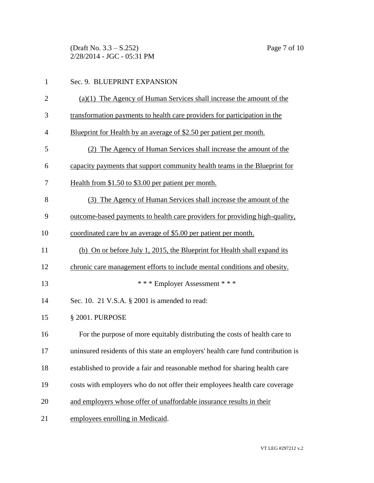(Draft No. 3.3 – S.252) Page 7 of 10 2/28/2014 - JGC - 05:31 PM

| $\mathbf{1}$   | Sec. 9. BLUEPRINT EXPANSION                                                      |
|----------------|----------------------------------------------------------------------------------|
| $\overline{2}$ | $(a)(1)$ The Agency of Human Services shall increase the amount of the           |
| 3              | transformation payments to health care providers for participation in the        |
| $\overline{4}$ | Blueprint for Health by an average of \$2.50 per patient per month.              |
| 5              | (2) The Agency of Human Services shall increase the amount of the                |
| 6              | capacity payments that support community health teams in the Blueprint for       |
| 7              | Health from \$1.50 to \$3.00 per patient per month.                              |
| 8              | (3) The Agency of Human Services shall increase the amount of the                |
| 9              | outcome-based payments to health care providers for providing high-quality,      |
| 10             | coordinated care by an average of \$5.00 per patient per month.                  |
| 11             | (b) On or before July 1, 2015, the Blueprint for Health shall expand its         |
| 12             | chronic care management efforts to include mental conditions and obesity.        |
| 13             | *** Employer Assessment ***                                                      |
| 14             | Sec. 10. 21 V.S.A. § 2001 is amended to read:                                    |
| 15             | § 2001. PURPOSE                                                                  |
| 16             | For the purpose of more equitably distributing the costs of health care to       |
| 17             | uninsured residents of this state an employers' health care fund contribution is |
| 18             | established to provide a fair and reasonable method for sharing health care      |
| 19             | costs with employers who do not offer their employees health care coverage       |
| 20             | and employers whose offer of unaffordable insurance results in their             |
| 21             | employees enrolling in Medicaid.                                                 |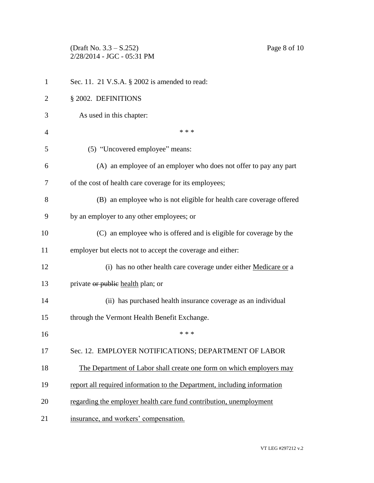(Draft No. 3.3 – S.252) Page 8 of 10 2/28/2014 - JGC - 05:31 PM

| $\mathbf{1}$   | Sec. 11. 21 V.S.A. § 2002 is amended to read:                            |
|----------------|--------------------------------------------------------------------------|
| $\overline{2}$ | § 2002. DEFINITIONS                                                      |
| 3              | As used in this chapter:                                                 |
| 4              | * * *                                                                    |
| 5              | (5) "Uncovered employee" means:                                          |
| 6              | (A) an employee of an employer who does not offer to pay any part        |
| 7              | of the cost of health care coverage for its employees;                   |
| 8              | (B) an employee who is not eligible for health care coverage offered     |
| 9              | by an employer to any other employees; or                                |
| 10             | (C) an employee who is offered and is eligible for coverage by the       |
| 11             | employer but elects not to accept the coverage and either:               |
| 12             | (i) has no other health care coverage under either Medicare or a         |
| 13             | private or public health plan; or                                        |
| 14             | (ii) has purchased health insurance coverage as an individual            |
| 15             | through the Vermont Health Benefit Exchange.                             |
| 16             | * * *                                                                    |
| 17             | Sec. 12. EMPLOYER NOTIFICATIONS; DEPARTMENT OF LABOR                     |
| 18             | The Department of Labor shall create one form on which employers may     |
| 19             | report all required information to the Department, including information |
| 20             | regarding the employer health care fund contribution, unemployment       |
| 21             | insurance, and workers' compensation.                                    |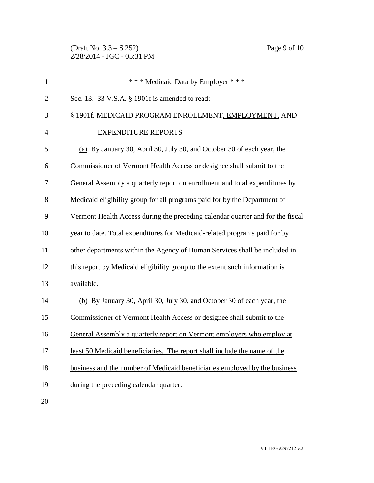(Draft No. 3.3 – S.252) Page 9 of 10 2/28/2014 - JGC - 05:31 PM

| $\mathbf{1}$   | *** Medicaid Data by Employer ***                                              |
|----------------|--------------------------------------------------------------------------------|
| $\overline{2}$ | Sec. 13. 33 V.S.A. § 1901f is amended to read:                                 |
| 3              | § 1901f. MEDICAID PROGRAM ENROLLMENT, EMPLOYMENT, AND                          |
| 4              | <b>EXPENDITURE REPORTS</b>                                                     |
| 5              | (a) By January 30, April 30, July 30, and October 30 of each year, the         |
| 6              | Commissioner of Vermont Health Access or designee shall submit to the          |
| 7              | General Assembly a quarterly report on enrollment and total expenditures by    |
| 8              | Medicaid eligibility group for all programs paid for by the Department of      |
| 9              | Vermont Health Access during the preceding calendar quarter and for the fiscal |
| 10             | year to date. Total expenditures for Medicaid-related programs paid for by     |
| 11             | other departments within the Agency of Human Services shall be included in     |
| 12             | this report by Medicaid eligibility group to the extent such information is    |
| 13             | available.                                                                     |
| 14             | (b) By January 30, April 30, July 30, and October 30 of each year, the         |
| 15             | Commissioner of Vermont Health Access or designee shall submit to the          |
| 16             | General Assembly a quarterly report on Vermont employers who employ at         |
| 17             | least 50 Medicaid beneficiaries. The report shall include the name of the      |
| 18             | business and the number of Medicaid beneficiaries employed by the business     |
| 19             | during the preceding calendar quarter.                                         |
|                |                                                                                |